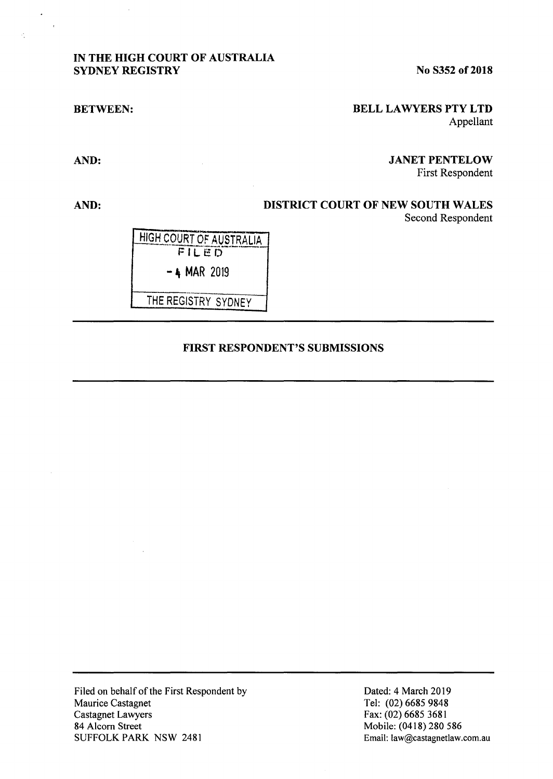### **IN THE HIGH COURT OF AUSTRALIA SYDNEY REGISTRY**

**No S352 of 2018** 

#### **BETWEEN:**

### **BELL LA WYERS PTY LTD**  Appellant

# **AND:**

 $\ddot{\phantom{0}}$ l.

# **AND: DISTRICT COURT OF NEW SOUTH WALES**

Second Respondent

First Respondent

**JANET PENTELOW** 

HIGH COURT OF AUSTRALIA  $-4$  MAR 2019

THE REGISTRY SYDNEY

### **FIRST RESPONDENT'S SUBMISSIONS**

Filed on behalf of the First Respondent by Maurice Castagnet Castagnet Lawyers 84 Alcorn Street SUFFOLK PARK NSW 2481

Dated: 4 March 2019 Tel: (02) 6685 9848 Fax: (02) 6685 3681 Mobile: (0418) 280 586 Email: law@castagnetlaw.com.au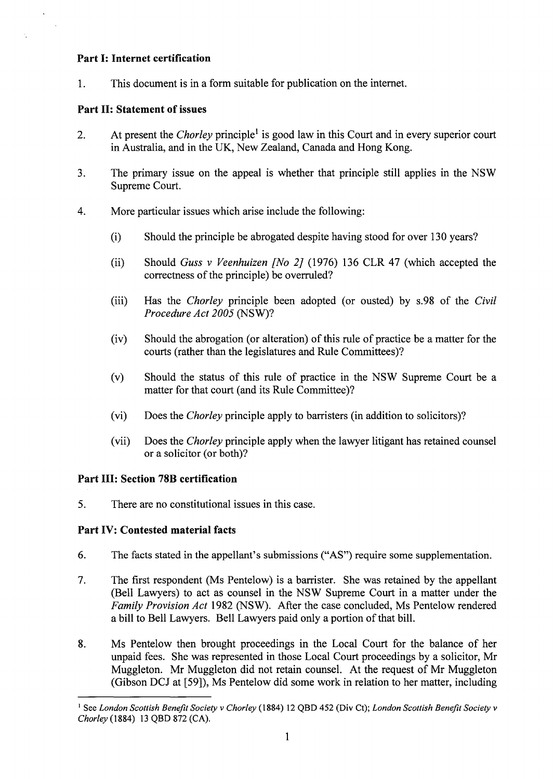### **Part I: Internet certification**

1. This document is in a form suitable for publication on the internet.

# **Part II: Statement of issues**

- 2. At present the *Chorley* principle<sup>1</sup> is good law in this Court and in every superior court in Australia, and in the UK, New Zealand, Canada and Hong Kong.
- 3. The primary issue on the appeal is whether that principle still applies in the NSW Supreme Court.
- 4. More particular issues which arise include the following:
	- (i) Should the principle be abrogated despite having stood for over 130 years?
	- (ii) Should *Guss v Veenhuizen [No 2]* (1976) 136 CLR 47 (which accepted the correctness of the principle) be overruled?
	- (iii) Has the *Chorley* principle been adopted (or ousted) by s.98 of the *Civil Procedure Act 2005* (NSW)?
	- (iv) Should the abrogation ( or alteration) of this rule of practice be a matter for the courts (rather than the legislatures and Rule Committees)?
	- (v) Should the status of this rule of practice in the NSW Supreme Court be a matter for that court (and its Rule Committee)?
	- (vi) Does the *Chorley* principle apply to barristers (in addition to solicitors)?
	- (vii) Does the *Chorley* principle apply when the lawyer litigant has retained counsel or a solicitor (or both)?

## **Part III: Section 78B certification**

5. There are no constitutional issues in this case.

## **Part IV: Contested material facts**

- 6. The facts stated in the appellant's submissions ("AS") require some supplementation.
- 7. The first respondent (Ms Pentelow) is a barrister. She was retained by the appellant (Bell Lawyers) to act as counsel in the NSW Supreme Court in a matter under the *Family Provision Act* 1982 (NSW). After the case concluded, Ms Pentelow rendered a bill to Bell Lawyers. Bell Lawyers paid only a portion of that bill.
- 8. Ms Pentelow then brought proceedings in the Local Court for the balance of her unpaid fees. She was represented in those Local Court proceedings by a solicitor, Mr Muggleton. Mr Muggleton did not retain counsel. At the request of Mr Muggleton (Gibson DCJ at [59]), Ms Pentelow did some work in relation to her matter, including

<sup>&</sup>lt;sup>1</sup> See *London Scottish Benefit Society v Chorley* (1884) 12 QBD 452 (Div Ct); *London Scottish Benefit Society v Chorley* (1884) 13 QBD 872 (CA).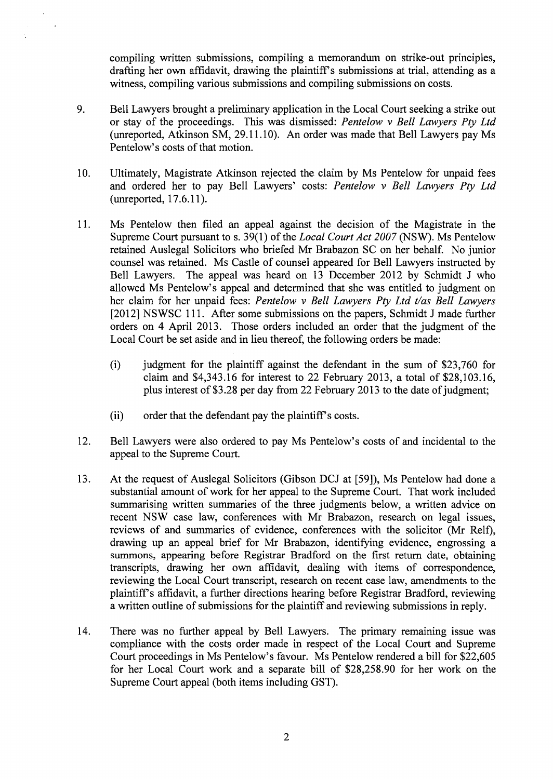compiling written submissions, compiling a memorandum on strike-out principles, drafting her own affidavit, drawing the plaintiffs submissions at trial, attending as a witness, compiling various submissions and compiling submissions on costs.

- 9. Bell Lawyers brought a preliminary application in the Local Court seeking a strike out or stay of the proceedings. This was dismissed: *Pentelow v Bell Lawyers Pty Ltd*  (unreported, Atkinson SM, 29.11.10). An order was made that Bell Lawyers pay Ms Pentelow's costs of that motion.
- 10. Ultimately, Magistrate Atkinson rejected the claim by Ms Pentelow for unpaid fees and ordered her to pay Bell Lawyers' costs: *Pentelow v Bell Lawyers Pty Ltd*  (unreported, 17 .6.11 ).
- 11. Ms Pentelow then filed an appeal against the decision of the Magistrate in the Supreme Court pursuant to s. 39(1) of the *Local Court Act 2007* (NSW). Ms Pentelow retained Auslegal Solicitors who briefed Mr Brabazon SC on her behalf. No junior counsel was retained. Ms Castle of counsel appeared for Bell Lawyers instructed by Bell Lawyers. The appeal was heard on 13 December 2012 by Schmidt J who allowed Ms Pentelow's appeal and determined that she was entitled to judgment on her claim for her unpaid fees: *Pentelow v Bell Lawyers Pty Ltd t/as Bell Lawyers* [2012] NSWSC 111. After some submissions on the papers, Schmidt J made further orders on 4 April 2013. Those orders included an order that the judgment of the Local Court be set aside and in lieu thereof, the following orders be made:
	- $(i)$  judgment for the plaintiff against the defendant in the sum of \$23,760 for claim and \$4,343.16 for interest to 22 February 2013, a total of \$28,103.16, plus interest of \$3.28 per day from 22 February 2013 to the date of judgment;
	- (ii) order that the defendant pay the plaintiff's costs.
- 12. Bell Lawyers were also ordered to pay Ms Pentelow's costs of and incidental to the appeal to the Supreme Court.
- 13. At the request of Auslegal Solicitors (Gibson DCJ at [59]), Ms Pentelow had done a substantial amount of work for her appeal to the Supreme Court. That work included summarising written summaries of the three judgments below, a written advice on recent NSW case law, conferences with Mr Brabazon, research on legal issues, reviews of and summaries of evidence, conferences with the solicitor (Mr Relf), drawing up an appeal brief for Mr Brabazon, identifying evidence, engrossing a summons, appearing before Registrar Bradford on the first return date, obtaining transcripts, drawing her own affidavit, dealing with items of correspondence, reviewing the Local Court transcript, research on recent case law, amendments to the plaintiffs affidavit, a further directions hearing before Registrar Bradford, reviewing a written outline of submissions for the plaintiff and reviewing submissions in reply.
- 14. There was no further appeal by Bell Lawyers. The primary remaining issue was compliance with the costs order made in respect of the Local Court and Supreme Court proceedings in Ms Pentelow's favour. Ms Pentelow rendered a bill for \$22,605 for her Local Court work and a separate bill of \$28,258.90 for her work on the Supreme Court appeal (both items including GST).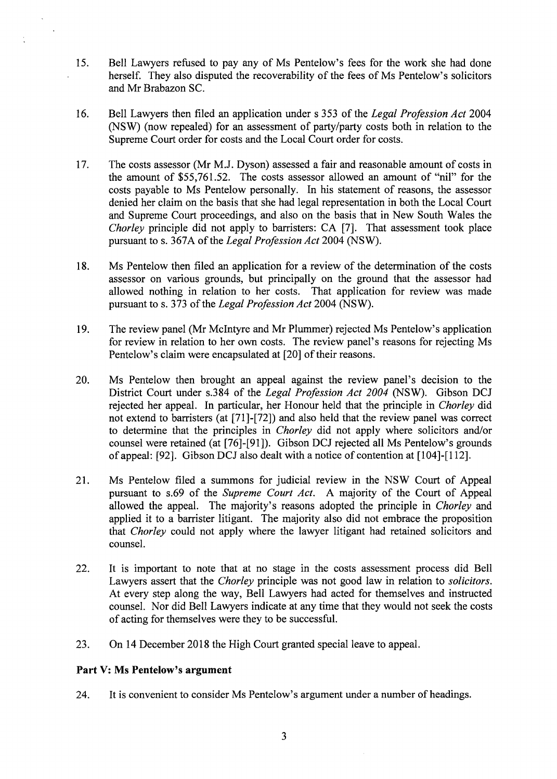- 15. Bell Lawyers refused to pay any of Ms Pentelow's fees for the work she had done herself. They also disputed the recoverability of the fees of Ms Pentelow's solicitors and Mr Brabazon SC.
- 16. Bell Lawyers then filed an application under s 353 of the *Legal Profession Act* 2004 (NSW) (now repealed) for an assessment of party/party costs both in relation to the Supreme Court order for costs and the Local Court order for costs.
- 17. The costs assessor (Mr M.J. Dyson) assessed a fair and reasonable amount of costs in the amount of \$55,761.52. The costs assessor allowed an amount of "nil" for the costs payable to Ms Pentelow personally. In his statement of reasons, the assessor denied her claim on the basis that she had legal representation in both the Local Court and Supreme Court proceedings, and also on the basis that in New South Wales the *Chorley* principle did not apply to barristers: CA [7]. That assessment took place pursuant to s. 367 A of the *Legal Profession Act* 2004 (NSW).
- 18. Ms Pentelow then filed an application for a review of the determination of the costs assessor on various grounds, but principally on the ground that the assessor had allowed nothing in relation to her costs. That application for review was made pursuant to s. 373 of the *Legal Profession Act* 2004 **(NSW).**
- 19. The review panel (Mr McIntyre and Mr Plummer) rejected Ms Pentelow's application for review in relation to her own costs. The review panel's reasons for rejecting Ms Pentelow's claim were encapsulated at [20] of their reasons.
- 20. Ms Pentelow then brought an appeal against the review panel's decision to the District Court under s.384 of the *Legal Profession Act 2004* (NSW). Gibson DCJ rejected her appeal. In particular, her Honour held that the principle in *Chorley* did not extend to barristers (at [71]-[72]) and also held that the review panel was correct to determine that the principles in *Chorley* did not apply where solicitors and/or counsel were retained (at [76]-[91]). Gibson DCJ rejected all Ms Pentelow's grounds of appeal: [92]. Gibson DCJ also dealt with a notice of contention at [104]-[112].
- 21. Ms Pentelow filed a summons for judicial review in the NSW Court of Appeal pursuant to s.69 of the *Supreme Court Act.* A majority of the Court of Appeal allowed the appeal. The majority's reasons adopted the principle in *Chorley* and applied it to a barrister litigant. The majority also did not embrace the proposition that *Chorley* could not apply where the lawyer litigant had retained solicitors and counsel.
- 22. It is important to note that at no stage in the costs assessment process did Bell Lawyers assert that the *Chorley* principle was not good law in relation to *solicitors.*  At every step along the way, Bell Lawyers had acted for themselves and instructed counsel. Nor did Bell Lawyers indicate at any time that they would not seek the costs of acting for themselves were they to be successful.
- 23. On 14 December 2018 the High Court granted special leave to appeal.

### **Part V: Ms Pentelow's argument**

24. It is convenient to consider Ms Pentelow's argument under a number of headings.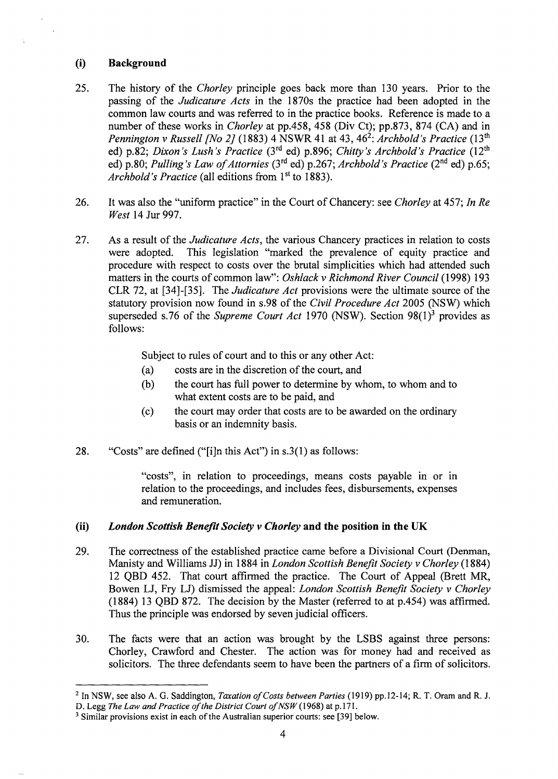### (i) **Background**

- 25. The history of the *Chorley* principle goes back more than 130 years. Prior to the passing of the *Judicature Acts* in the 1870s the practice had been adopted in the common law courts and was referred to in the practice books. Reference is made to a number of these works in *Chorley* at pp.458, 458 (Div Ct); pp.873, 874 (CA) and in *Pennington v Russell [No 2]* (1883) 4 NSWR 41 at 43, 46<sup>2</sup>: *Archbold's Practice* (13<sup>th</sup>) ed) p.82; *Dixon's Lush's Practice* (3<sup>rd</sup> ed) p.896; *Chitty's Archbold's Practice* (12<sup>th</sup> ed) p.80; *Pulling's Law of Attornies* (3rd ed) p.267; *Archbold's Practice* (2nd ed) p.65; *Archbold's Practice* (all editions from 1st to 1883).
- 26. It was also the "uniform practice" in the Court of Chancery: see *Chorley* at 457; *In Re West* 14 Jur 997.
- 27. As a result of the *Judicature Acts,* the various Chancery practices in relation to costs were adopted. This legislation "marked the prevalence of equity practice and procedure with respect to costs over the brutal simplicities which had attended such matters in the courts of common law": *Oshlack v Richmond River Council* (1998) 193 CLR 72, at [34]-[35]. The *Judicature Act* provisions were the ultimate source of the statutory provision now found in s.98 of the *Civil Procedure Act* 2005 (NSW) which superseded s.76 of the *Supreme Court Act* 1970 (NSW). Section 98(1)<sup>3</sup> provides as follows:

Subject to rules of court and to this or any other Act:

- (a) costs are in the discretion of the court, and
- (b) the court has full power to determine by whom, to whom and to what extent costs are to be paid, and
- ( c) the court may order that costs are to be awarded on the ordinary basis or an indemnity basis.
- 28. "Costs" are defined ("[i]n this Act") in s.3(1) as follows:

"costs", in relation to proceedings, means costs payable in or in relation to the proceedings, and includes fees, disbursements, expenses and remuneration.

## (ii) *London Scottish Benefit Society* v *Chorley* **and the position in the UK**

- 29. The correctness of the established practice came before a Divisional Court (Denman, Manisty and Williams JJ) in 1884 in *London Scottish Benefit Society v Chorley* (1884) 12 QBD 452. That court affirmed the practice. The Court of Appeal (Brett MR, Bowen LJ, Fry LJ) dismissed the appeal: *London Scottish Benefit Society v Chorley*  (1884) 13 QBD 872. The decision by the Master (referred to at p.454) was affirmed. Thus the principle was endorsed by seven judicial officers.
- 30. The facts were that an action was brought by the LSBS against three persons: Chorley, Crawford and Chester. The action was for money had and received as solicitors. The three defendants seem to have been the partners of a firm of solicitors.

<sup>2</sup>In NSW, see also A.G. Saddington, *Taxation of Costs between Parties* (1919) pp.12-14; R. T. Oram and R. J. D. Legg The Law and Practice of the District Court of NSW (1968) at p.171.

<sup>&</sup>lt;sup>3</sup> Similar provisions exist in each of the Australian superior courts: see [39] below.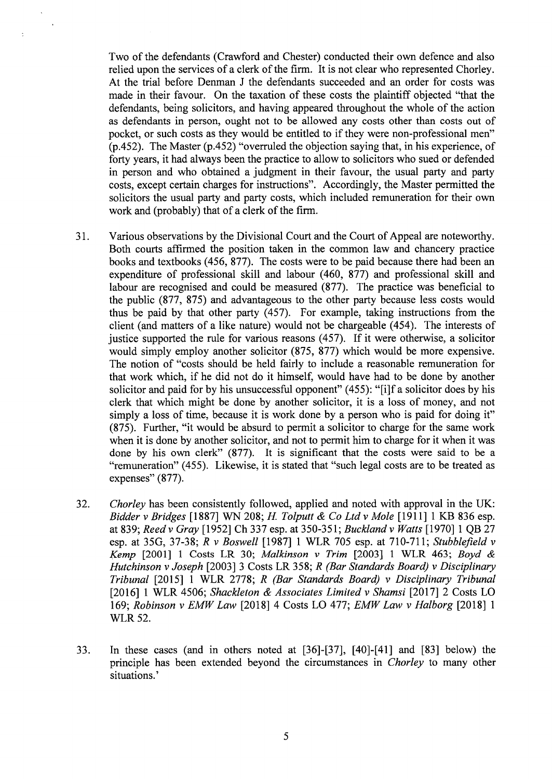Two of the defendants (Crawford and Chester) conducted their own defence and also relied upon the services of a clerk of the firm. It is not clear who represented Chorley. At the trial before Denman J the defendants succeeded and an order for costs was made in their favour. On the taxation of these costs the plaintiff objected "that the defendants, being solicitors, and having appeared throughout the whole of the action as defendants in person, ought not to be allowed any costs other than costs out of pocket, or such costs as they would be entitled to if they were non-professional men" (p.452). The Master (p.452) "overruled the objection saying that, in his experience, of forty years, it had always been the practice to allow to solicitors who sued or defended in person and who obtained a judgment in their favour, the usual party and party costs, except certain charges for instructions". Accordingly, the Master permitted the solicitors the usual party and party costs, which included remuneration for their own work and (probably) that of a clerk of the firm.

 $\ddot{\phantom{1}}$ 

- 31. Various observations by the Divisional Court and the Court of Appeal are noteworthy. Both courts affirmed the position taken in the common law and chancery practice books and textbooks ( 456, 877). The costs were to be paid because there had been an expenditure of professional skill and labour (460, 877) and professional skill and labour are recognised and could be measured (877). The practice was beneficial to the public (877, 875) and advantageous to the other party because less costs would thus be paid by that other party (457). For example, taking instructions from the client (and matters of a like nature) would not be chargeable (454). The interests of justice supported the rule for various reasons (457). If it were otherwise, a solicitor would simply employ another solicitor (875, 877) which would be more expensive. The notion of "costs should be held fairly to include a reasonable remuneration for that work which, if he did not do it himself, would have had to be done by another solicitor and paid for by his unsuccessful opponent" (455): "[i]f a solicitor does by his clerk that which might be done by another solicitor, it is a loss of money, and not simply a loss of time, because it is work done by a person who is paid for doing it" (875). Further, "it would be absurd to permit a solicitor to charge for the same work when it is done by another solicitor, and not to permit him to charge for it when it was done by his own clerk" (877). It is significant that the costs were said to be a "remuneration" (455). Likewise, it is stated that "such legal costs are to be treated as expenses" (877).
- 32. *Chorley* has been consistently followed, applied and noted with approval in the UK: *Bidder v Bridges* [ 1887] WN 208; *H To/putt & Co Ltd v Mole* [1911] 1 KB 836 esp. at 839; *Reedv Gray* [1952] Ch 337 esp. at 350-351; *Bucklandv Watts* [1970] 1 QB 27 esp. at 35G, 37-38; *R v Boswell* [1987] 1 WLR 705 esp. at 710-711; *Stubblefield v Kemp* [2001] 1 Costs LR 30; *Malkinson v Trim* [2003] 1 WLR 463; *Boyd & Hutchinson v Joseph* [2003] 3 Costs LR 358; *R (Bar Standards Board) v Disciplinary Tribunal* [2015] 1 WLR 2778; *R (Bar Standards Board) v Disciplinary Tribunal*  [2016] 1 WLR 4506; *Shackleton & Associates Limited v Shamsi* [2017] 2 Costs LO 169; *Robinson v EMW Law* [2018] 4 Costs LO 477; *EMW Law v Halborg* [2018] 1 WLR 52.
- 33. In these cases (and in others noted at [36]-[37], [40]-[41] and [83] below) the principle has been extended beyond the circumstances in *Chorley* to many other situations.'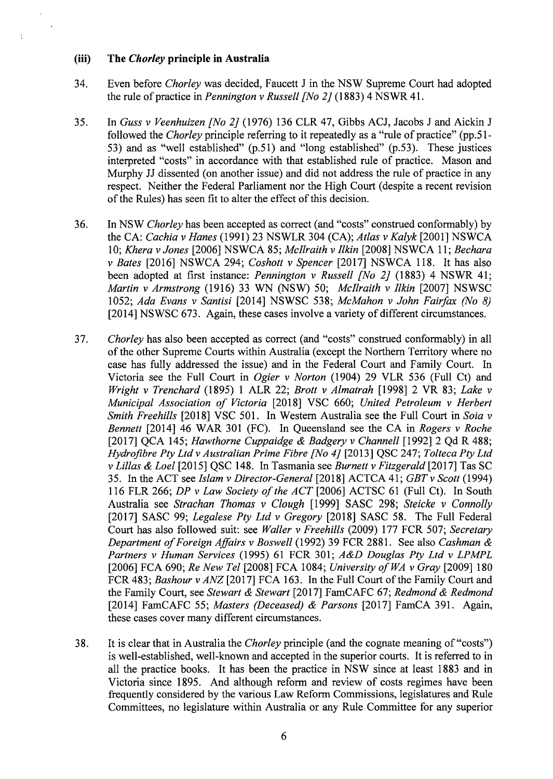#### **(iii) The** *Chorley* **principle in Australia**

 $\ddot{\phantom{a}}$ 

- 34. Even before *Chorley* was decided, Faucett Jin the NSW Supreme Court had adopted the rule of practice in *Pennington v Russell [No 2]* (1883) 4 NSWR 41.
- 35. In *Guss v Veenhuizen [No 2]* (1976) 136 CLR 47, Gibbs ACJ, Jacobs J and Aickin J followed the *Chorley* principle referring to it repeatedly as a "rule of practice" (pp.51- 53) and as "well established" (p.51) and "long established" (p.53). These justices interpreted "costs" in accordance with that established rule of practice. Mason and Murphy JJ dissented (on another issue) and did not address the rule of practice in any respect. Neither the Federal Parliament nor the High Court (despite a recent revision of the Rules) has seen fit to alter the effect of this decision.
- 36. In NSW *Chorley* has been accepted as correct (and "costs" construed conformably) by the CA: *Cachia v Hanes* (1991) 23 NSWLR 304 (CA); *Atlas v Kalyk* [2001] NSWCA 1 0; *Khera v Jones* [2006] NSWCA 85; *Mcllraith v I/kin* [2008] NSWCA 11; *Bechara v Bates* [2016] NSWCA 294; *Coshott v Spencer* [2017] NSWCA 118. It has also been adopted at first instance: *Pennington v Russell [No 2]* (1883) 4 NSWR 41; *Martin v Armstrong* (1916) 33 WN (NSW) 50; *Mcllraith v Ilkin* [2007] NSWSC 1052; *Ada Evans v Santisi* [2014] NSWSC 538; *McMahon v John Fairfax (No 8)*  [2014] NSWSC 673. Again, these cases involve a variety of different circumstances.
- 37. *Chorley* has also been accepted as correct (and "costs" construed conformably) in all of the other Supreme Courts within Australia ( except the Northern Territory where no case has fully addressed the issue) and in the Federal Court and Family Court. In Victoria see the Full Court in *Ogier v Norton* (1904) 29 VLR 536 (Full Ct) and *Wright v Trenchard* (1895) 1 ALR 22; *Brott v Almatrah* [1998] 2 VR 83; *Lake v Municipal Association of Victoria* [2018] VSC 660; *United Petroleum v Herbert Smith Freehills* [2018] VSC 501. In Western Australia see the Full Court in *Saia v Bennett* [2014] 46 WAR 301 (FC). In Queensland see the CA in *Rogers v Roche*  [2017] QCA 145; *Hawthorne Cuppaidge & Badgery v Channell* [1992] 2 Qd R 488; *Hydrofibre Pty Ltd v Australian Prime Fibre [No 4]* [2013] QSC 247; *Tolteca Pty Ltd v Lilias & Loe!* [2015] QSC 148. In Tasmania see *Burnett v Fitzgerald* [2017] Tas SC 35. In the ACT see *Islam v Director-General* [2018] ACTCA 41; *GBTv Scott* (1994) 116 FLR 266; *DP v Law Society of the ACT* [2006] ACTSC 61 (Full Ct). In South Australia see *Strachan Thomas v Clough* [1999] SASC 298; *Steicke v Connolly*  [2017] SASC 99; *Legalese Pty Ltd v Gregory* [2018] SASC 58. The Full Federal Court has also followed suit: see *Waller v Freehills* (2009) 177 FCR 507; *Secretary Department of Foreign Affairs v Boswell* (1992) 39 FCR 2881. See also *Cashman & Partners v Human Services* (1995) 61 FCR 301; *A&D Douglas Pty Ltd v LPMPL*  [2006] FCA 690; *Re New Tel* [2008] FCA 1084; *University of WA v Gray* [2009] 180 FCR 483; *Bashour v ANZ* [2017] FCA 163. In the Full Court of the Family Court and the Family Court, see *Stewart & Stewart* [2017] FamCAFC 67; *Redmond & Redmond*  [2014] FamCAFC 55; *Masters (Deceased) & Parsons* [2017] FamCA 391. Again, these cases cover many different circumstances.
- 38. It is clear that in Australia the *Chorley* principle (and the cognate meaning of "costs") is well-established, well-known and accepted in the superior courts. It is referred to in all the practice books. It has been the practice in NSW since at least 1883 and in Victoria since 1895. And although reform and review of costs regimes have been frequently considered by the various Law Reform Commissions, legislatures and Rule Committees, no legislature within Australia or any Rule Committee for any superior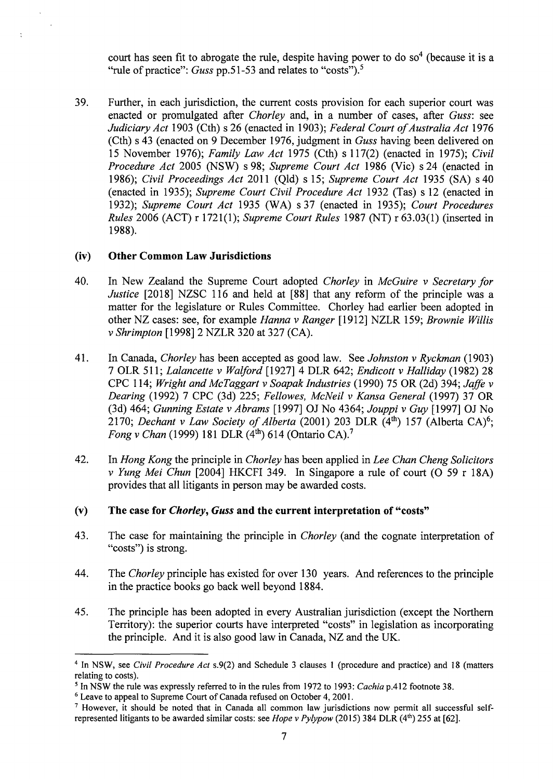court has seen fit to abrogate the rule, despite having power to do so<sup>4</sup> (because it is a "rule of practice": *Guss* pp.51-53 and relates to "costs").<sup>5</sup>

39. Further, in each jurisdiction, the current costs provision for each superior court was enacted or promulgated after *Chorley* and, in a number of cases, after *Guss:* see *Judiciary Act* 1903 (Cth) s 26 (enacted in 1903); *Federal Court of Australia Act* 1976 (Cth) s 43 (enacted on 9 December 1976, judgment in *Guss* having been delivered on 15 November 1976); *Family Law Act* 1975 (Cth) s 117(2) (enacted in 1975); *Civil Procedure Act* 2005 (NSW) s 98; *Supreme Court Act* 1986 (Vic) s 24 (enacted in 1986); *Civil Proceedings Act* 2011 (Qld) s 15; *Supreme Court Act* 1935 (SA) s 40 ( enacted in 1935); *Supreme Court Civil Procedure Act* 1932 (Tas) s 12 ( enacted in 1932); *Supreme Court Act* 1935 (WA) s 37 (enacted in 1935); *Court Procedures Rules* 2006 (ACT) r 1721(1); *Supreme Court Rules* 1987 (NT) r 63.03(1) (inserted in 1988).

### **(iv) Other Common Law Jurisdictions**

 $\ddot{\phantom{a}}$ 

- 40. In New Zealand the Supreme Court adopted *Chorley* in *McGuire v Secretary for Justice* [2018] NZSC 116 and held at **[88]** that any reform of the principle was a matter for the legislature or Rules Committee. Chorley had earlier been adopted in other NZ cases: see, for example *Hanna v Ranger* [1912] NZLR 159; *Brownie Willis v Shrimpton* [1998] 2 NZLR 320 at 327 (CA).
- 41. In Canada, *Chorley* has been accepted as good law. See *Johnston v Ryckman* (1903) 7 OLR 511; *Lalancette v Walford* [1927] 4 DLR 642; *Endicott v Halliday* (1982) 28 CPC 114; *Wright and McTaggart v Soapak Industries* (1990) 75 OR (2d) 394; *Jaffe v Dearing* (1992) 7 CPC (3d) 225; *Fellowes, McNeil v Kansa General* (1997) 37 OR (3d) 464; *Gunning Estate v Abrams* [1997] OJ No 4364; *Jouppi v Guy* [1997] OJ No 2170; *Dechant v Law Society of Alberta* (2001) 203 DLR (4<sup>th</sup>) 157 (Alberta CA)<sup>6</sup>; *Fong v Chan* (1999) 181 DLR (4<sup>th</sup>) 614 (Ontario CA).<sup>7</sup>
- 42. In *Hong Kong* the principle in *Chorley* has been applied in *Lee Chan Cheng Solicitors v Yung Mei Chun* [2004] HKCFI 349. In Singapore a rule of court (0 59 r 18A) provides that all litigants in person may be awarded costs.

## **(v) The case for** *Chorley, Guss* **and the current interpretation of "costs"**

- 43. The case for maintaining the principle in *Chorley* (and the cognate interpretation of "costs") is strong.
- 44. The *Chorley* principle has existed for over 130 years. And references to the principle in the practice books go back well beyond 1884.
- 45. The principle has been adopted in every Australian jurisdiction (except the Northern Territory): the superior courts have interpreted "costs" in legislation as incorporating the principle. And it is also good law in Canada, NZ and the UK.

<sup>4</sup>In NSW, see *Civil Procedure Act* s.9(2) and Schedule 3 clauses 1 (procedure and practice) and 18 (matters relating to costs).

*<sup>5</sup>*In NSW the rule was expressly referred to in the rules from 1972 to 1993: *Cachia* p.412 footnote 38.

<sup>6</sup> Leave to appeal to Supreme Court of Canada refused on October 4, 2001.

<sup>7</sup> However, it should be noted that in Canada all common law jurisdictions now permit all successful selfrepresented litigants to be awarded similar costs: see *Hope v Pylypow* (2015) 384 DLR (4<sup>th</sup>) 255 at [62].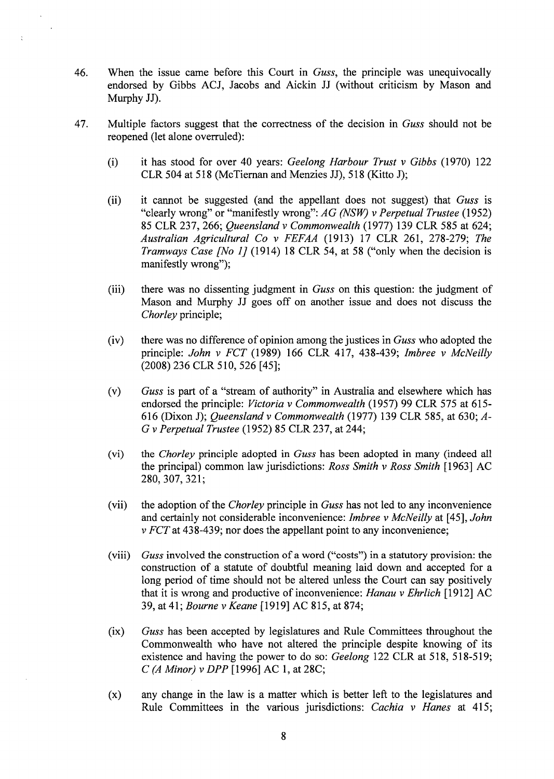- 46. When the issue came before this Court in *Guss,* the principle was unequivocally endorsed by Gibbs ACJ, Jacobs and Aickin JJ (without criticism by Mason and Murphy JJ).
- 47. Multiple factors suggest that the correctness of the decision in *Guss* should not be reopened (let alone overruled):
	- (i) it has stood for over 40 years: *Geelong Harbour Trust v Gibbs* (1970) 122 CLR 504 at 518 (McTieman and Menzies JJ), 518 (Kitto J);
	- (ii) it cannot be suggested (and the appellant does not suggest) that *Guss* is "clearly wrong" or "manifestly wrong": *AG (NSW) v Perpetual Trustee* (1952) 85 CLR 237,266; *Queensland v Commonwealth* (1977) 139 CLR 585 at 624; *Australian Agricultural Co v FEFAA* (1913) 17 CLR 261, 278-279; *The Tramways Case [No 1]* (1914) 18 CLR 54, at 58 ("only when the decision is manifestly wrong");
	- (iii) there was no dissenting judgment in *Guss* on this question: the judgment of Mason and Murphy JJ goes off on another issue and does not discuss the *Chorley* principle;
	- (iv) there was no difference of opinion among the justices in *Guss* who adopted the principle: *John v FCT* (1989) 166 CLR 417, 438-439; *lmbree v McNeilly*  (2008) 236 CLR 510, 526 [45];
	- (v) *Guss* is part of a "stream of authority" in Australia and elsewhere which has endorsed the principle: *Victoria v Commonwealth* (1957) 99 CLR 575 at 615- 616 (Dixon J); *Queensland v Commonwealth* (1977) 139 CLR 585, at 630; *A-*G *v Perpetual Trustee* (1952) 85 CLR 237, at 244;
	- (vi) the *Chorley* principle adopted in *Guss* has been adopted in many (indeed all the principal) common law jurisdictions: *Ross Smith v Ross Smith* [1963] AC 280,307,321;
	- (vii) the adoption of the *Chorley* principle in *Guss* has not led to any inconvenience and certainly not considerable inconvenience: *lmbree v McNeilly* at [45], *John v FCTat* 438-439; nor does the appellant point to any inconvenience;
	- (viii) *Guss* involved the construction of a word ("costs") in a statutory provision: the construction of a statute of doubtful meaning laid down and accepted for a long period of time should not be altered unless the Court can say positively that it is wrong and productive of inconvenience: *Hanau v Ehrlich* [1912] AC 39, at 41; *Bourne v Keane* [1919] AC 815, at 874;
	- (ix) *Guss* has been accepted by legislatures and Rule Committees throughout the Commonwealth who have not altered the principle despite knowing of its existence and having the power to do so: *Geelong* 122 CLR at 518, 518-519; *C (A Minor) v DPP* [1996] AC 1, at 28C;
	- (x) any change in the law is a matter which is better left to the legislatures and Rule Committees in the various jurisdictions: *Cachia v Hanes* at 415;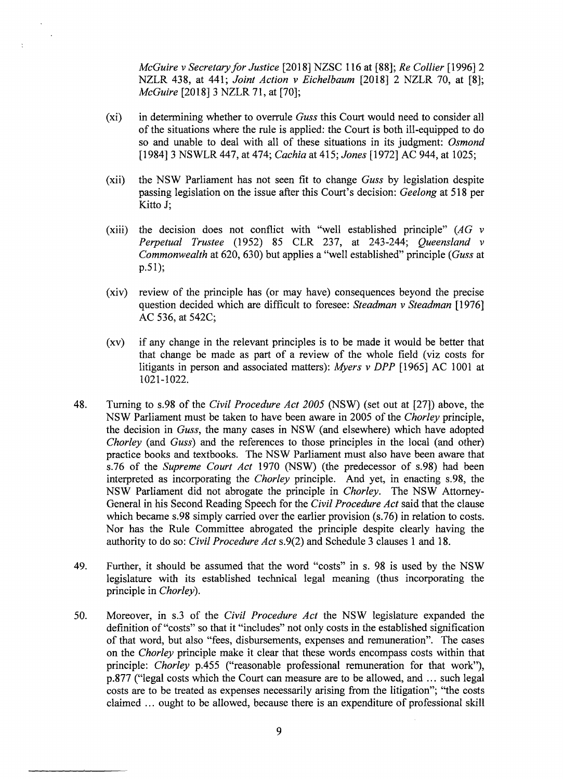*McGuire vSecretaryforJustice* [2018] NZSC 116 at **[88];** *Re Collier* [1996] 2 NZLR 438, at 441; *Joint Action v Eichelbaum* [2018] 2 NZLR 70, at **[8];**  *McGuire* [2018] 3 NZLR 71, at [70];

(xi) in determining whether to overrule *Guss* this Court would need to consider all of the situations where the rule is applied: the Court is both ill-equipped to do so and unable to deal with all of these situations in its judgment: *Osmond*  [1984] 3 NSWLR 447, at 474; *Cachia* at 415; *Jones* [1972] AC 944, at 1025;

 $\ddot{\phantom{1}}$ 

 $\ddot{\cdot}$ 

- (xii) the NSW Parliament has not seen fit to change *Guss* by legislation despite passing legislation on the issue after this Court's decision: *Geelong* at 518 per Kitto J;
- (xiii) the decision does not conflict with "well established principle" *(AG v Perpetual Trustee* (1952) 85 CLR 237, at 243-244; *Queensland v Commonwealth* at 620, 630) but applies a "well established" principle *(Guss* at p.51);
- (xiv) review of the principle has (or may have) consequences beyond the precise question decided which are difficult to foresee: *Steadman v Steadman* [1976] AC 536, at 542C;
- (xv) if any change in the relevant principles is to be made it would be better that that change be made as part of a review of the whole field (viz costs for litigants in person and associated matters): *Myers v DPP* [1965] AC 1001 at 1021-1022.
- 48. Turning to s.98 of the *Civil Procedure Act 2005* (NSW) (set out at [27]) above, the NSW Parliament must be taken to have been aware in 2005 of the *Chorley* principle, the decision in *Guss,* the many cases in NSW (and elsewhere) which have adopted *Chorley* (and *Guss)* and the references to those principles in the local (and other) practice books and textbooks. The NSW Parliament must also have been aware that s.76 of the *Supreme Court Act* 1970 (NSW) (the predecessor of s.98) had been interpreted as incorporating the *Chorley* principle. And yet, in enacting s. 98, the NSW Parliament did not abrogate the principle in *Chorley.* The NSW Attorney-General in his Second Reading Speech for the *Civil Procedure Act* said that the clause which became s.98 simply carried over the earlier provision (s.76) in relation to costs. Nor has the Rule Committee abrogated the principle despite clearly having the authority to do so: *Civil Procedure Act* s.9(2) and Schedule 3 clauses 1 and 18.
- 49. Further, it should be assumed that the word "costs" in s. 98 is used by the NSW legislature with its established technical legal meaning (thus incorporating the principle in *Chorley).*
- 50. Moreover, in s.3 of the *Civil Procedure Act* the NSW legislature expanded the definition of "costs" so that it "includes" not only costs in the established signification of that word, but also "fees, disbursements, expenses and remuneration". The cases on the *Chorley* principle make it clear that these words encompass costs within that principle: *Chorley* p.455 ("reasonable professional remuneration for that work"), p.877 ("legal costs which the Court can measure are to be allowed, and ... such legal costs are to be treated as expenses necessarily arising from the litigation"; "the costs claimed ... ought to be allowed, because there is an expenditure of professional skill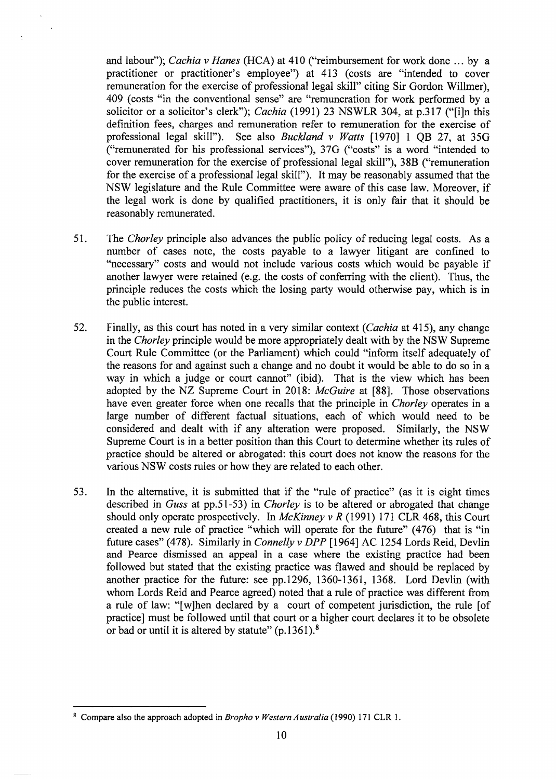and labour"); *Cachia v Hanes* (HCA) at 410 ("reimbursement for work done ... by a practitioner or practitioner's employee") at 413 ( costs are "intended to cover remuneration for the exercise of professional legal skill" citing Sir Gordon Willmer), 409 ( costs "in the conventional sense" are "remuneration for work performed by a solicitor or a solicitor's clerk"); *Cachia* (1991) 23 NS WLR 304, at p.317 ("[i]n this definition fees, charges and remuneration refer to remuneration for the exercise of professional legal skill"). See also *Buckland v Watts* [1970] 1 QB 27, at 35G ("remunerated for his professional services"), 37G ("costs" is a word "intended to cover remuneration for the exercise of professional legal skill"), 38B ("remuneration for the exercise of a professional legal skill"). It may be reasonably assumed that the NSW legislature and the Rule Committee were aware of this case law. Moreover, if the legal work is done by qualified practitioners, it is only fair that it should be reasonably remunerated.

- 51. The *Chorley* principle also advances the public policy of reducing legal costs. As a number of cases note, the costs payable to a lawyer litigant are confined to "necessary" costs and would not include various costs which would be payable if another lawyer were retained (e.g. the costs of conferring with the client). Thus, the principle reduces the costs which the losing party would otherwise pay, which is in the public interest.
- 52. Finally, as this court has noted in a very similar context ( *Cachia* at 415), any change in the *Chorley* principle would be more appropriately dealt with by the NSW Supreme Court Rule Committee (or the Parliament) which could "inform itself adequately of the reasons for and against such a change and no doubt it would be able to do so in a way in which a judge or court cannot" (ibid). That is the view which has been adopted by the NZ Supreme Court in 2018: *McGuire* at **[88].** Those observations have even greater force when one recalls that the principle in *Chorley* operates in a large number of different factual situations, each of which would need to be considered and dealt with if any alteration were proposed. Similarly, the NSW Supreme Court is in a better position than this Court to determine whether its rules of practice should be altered or abrogated: this court does not know the reasons for the various NSW costs rules or how they are related to each other.
- 53. In the alternative, it is submitted that if the "rule of practice" (as it is eight times described in *Guss* at pp.51-53) in *Chorley* is to be altered or abrogated that change should only operate prospectively. In *McKinney v R* (1991) 171 CLR 468, this Court created a new rule of practice "which will operate for the future" (476) that is "in future cases" (478). Similarly in *Connelly v DPP* [1964] AC 1254 Lords Reid, Devlin and Pearce dismissed an appeal in a case where the existing practice had been followed but stated that the existing practice was flawed and should be replaced by another practice for the future: see pp.1296, 1360-1361, 1368. Lord Devlin (with whom Lords Reid and Pearce agreed) noted that a rule of practice was different from a rule of law: "[w]hen declared by a court of competent jurisdiction, the rule [of practice] must be followed until that court or a higher court declares it to be obsolete or bad or until it is altered by statute"  $(p.1361)$ .<sup>8</sup>

<sup>8</sup>Compare also the approach adopted in *Bropho v Western Australia* ( 1990) 171 CLR 1.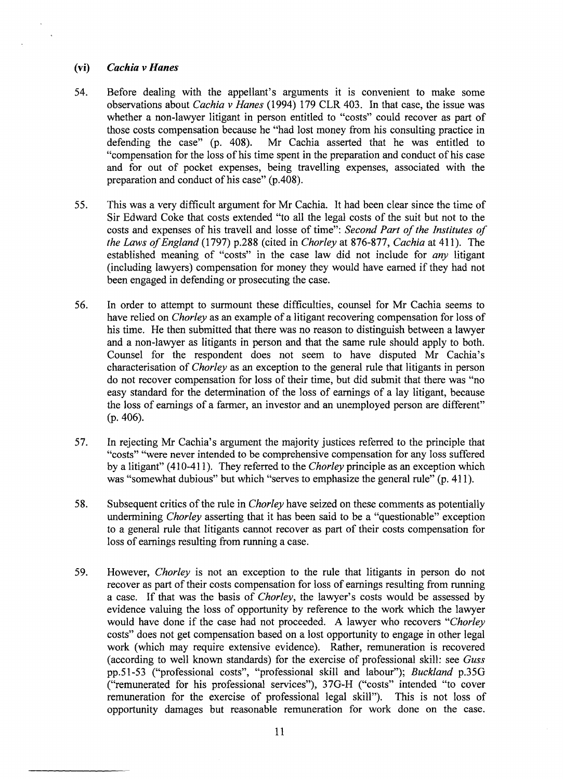#### **(vi)** *Cachia v Hanes*

 $\overline{ }$ 

- 54. Before dealing with the appellant's arguments it is convenient to make some observations about *Cachia v Hanes* (1994) 179 CLR 403. In that case, the issue was whether a non-lawyer litigant in person entitled to "costs" could recover as part of those costs compensation because he "had lost money from his consulting practice in defending the case" (p. 408). Mr Cachia asserted that he was entitled to Mr Cachia asserted that he was entitled to "compensation for the loss of his time spent in the preparation and conduct of his case and for out of pocket expenses, being travelling expenses, associated with the preparation and conduct of his case" (p.408).
- 55. This was a very difficult argument for Mr Cachia. It had been clear since the time of Sir Edward Coke that costs extended "to all the legal costs of the suit but not to the costs and expenses of his travell and losse of time": *Second Part of the Institutes of the Laws of England* (1797) p.288 (cited in *Chorley* at 876-877, *Cachia* at 411). The established meaning of "costs" in the case law did not include for *any* litigant (including lawyers) compensation for money they would have earned if they had not been engaged in defending or prosecuting the case.
- 56. In order to attempt to surmount these difficulties, counsel for Mr Cachia seems to have relied on *Chorley* as an example of a litigant recovering compensation for loss of his time. He then submitted that there was no reason to distinguish between a lawyer and a non-lawyer as litigants in person and that the same rule should apply to both. Counsel for the respondent does not seem to have disputed Mr Cachia's characterisation of *Chorley* as an exception to the general rule that litigants in person do not recover compensation for loss of their time, but did submit that there was "no easy standard for the determination of the loss of earnings of a lay litigant, because the loss of earnings of a farmer, an investor and an unemployed person are different" (p. 406).
- 57. In rejecting Mr Cachia's argument the majority justices referred to the principle that "costs" "were never intended to be comprehensive compensation for any loss suffered by a litigant" ( 410-411 ). They referred to the *Chorley* principle as an exception which was "somewhat dubious" but which "serves to emphasize the general rule" (p. 411).
- 58. Subsequent critics of the rule in *Chorley* have seized on these comments as potentially undermining *Chorley* asserting that it has been said to be a "questionable" exception to a general rule that litigants cannot recover as part of their costs compensation for loss of earnings resulting from running a case.
- 59. However, *Chorley* is not an exception to the rule that litigants in person do not recover as part of their costs compensation for loss of earnings resulting from running a case. If that was the basis of *Chorley,* the lawyer's costs would be assessed by evidence valuing the loss of opportunity by reference to the work which the lawyer would have done if the case had not proceeded. A lawyer who recovers *"Chorley*  costs" does not get compensation based on a lost opportunity to engage in other legal work (which may require extensive evidence). Rather, remuneration is recovered (according to well known standards) for the exercise of professional skill: see *Guss*  pp.51-53 ("professional costs", "professional skill and labour"); *Buckland* p.35O ("remunerated for his professional services"), 37O-H ("costs" intended "to cover remuneration for the exercise of professional legal skill"). This is not loss of opportunity damages but reasonable remuneration for work done on the case.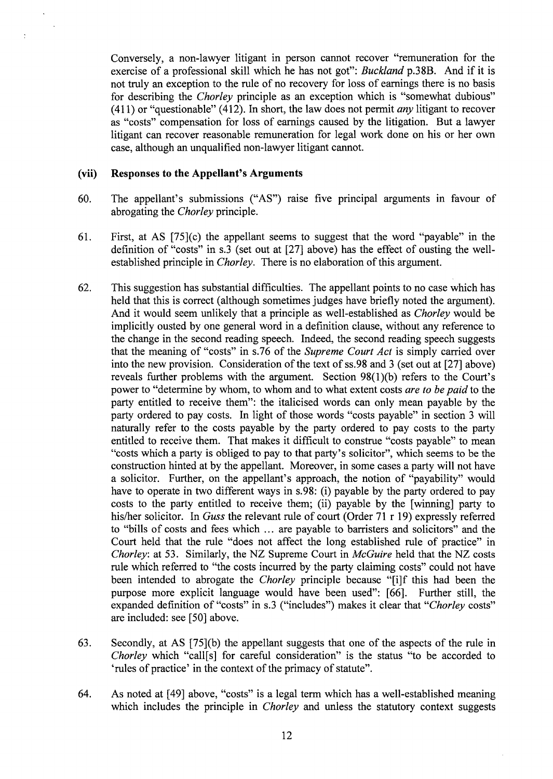Conversely, a non-lawyer litigant in person cannot recover "remuneration for the exercise of a professional skill which he has not got": *Buckland* p.38B. And if it is not truly an exception to the rule of no recovery for loss of earnings there is no basis for describing the *Chorley* principle as an exception which is "somewhat dubious" ( 411) or "questionable" ( 412). In short, the law does not permit *any* litigant to recover as "costs" compensation for loss of earnings caused by the litigation. But a lawyer litigant can recover reasonable remuneration for legal work done on his or her own case, although an unqualified non-lawyer litigant cannot.

#### **(vii) Responses to the Appellant's Arguments**

- 60. The appellant's submissions ("AS") raise five principal arguments in favour of abrogating the *Chorley* principle.
- 61. First, at AS [75](c) the appellant seems to suggest that the word "payable" in the definition of "costs" in s.3 (set out at [27] above) has the effect of ousting the wellestablished principle in *Chorley.* There is no elaboration of this argument.
- 62. This suggestion has substantial difficulties. The appellant points to no case which has held that this is correct (although sometimes judges have briefly noted the argument). And it would seem unlikely that a principle as well-established as *Chorley* would be implicitly ousted by one general word in a definition clause, without any reference to the change in the second reading speech. Indeed, the second reading speech suggests that the meaning of "costs" in s. 76 of the *Supreme Court Act* is simply carried over into the new provision. Consideration of the text of ss.98 and 3 (set out at [27] above) reveals further problems with the argument. Section 98(1)(b) refers to the Court's power to "determine by whom, to whom and to what extent costs *are to be paid* to the party entitled to receive them": the italicised words can only mean payable by the party ordered to pay costs. In light of those words "costs payable" in section 3 will naturally refer to the costs payable by the party ordered to pay costs to the party entitled to receive them. That makes it difficult to construe "costs payable" to mean "costs which a party is obliged to pay to that party's solicitor", which seems to be the construction hinted at by the appellant. Moreover, in some cases a party will not have a solicitor. Further, on the appellant's approach, the notion of "payability" would have to operate in two different ways in s.98: (i) payable by the party ordered to pay costs to the party entitled to receive them; (ii) payable by the [ winning] party to his/her solicitor. In *Guss* the relevant rule of court (Order 71 r 19) expressly referred to "bills of costs and fees which ... are payable to barristers and solicitors" and the Court held that the rule "does not affect the long established rule of practice" in *Chorley:* at 53. Similarly, the NZ Supreme Court in *McGuire* held that the NZ costs rule which referred to "the costs incurred by the party claiming costs" could not have been intended to abrogate the *Chorley* principle because "[i]f this had been the purpose more explicit language would have been used": [66]. Further still, the expanded definition of "costs" in s.3 ("includes") makes it clear that *"Chorley* costs" are included: see [50] above.
- 63. Secondly, at AS [75](b) the appellant suggests that one of the aspects of the rule in *Chorley* which "call[s] for careful consideration" is the status "to be accorded to 'rules of practice' in the context of the primacy of statute".
- 64. As noted at [ 49] above, "costs" is a legal term which has a well-established meaning which includes the principle in *Chorley* and unless the statutory context suggests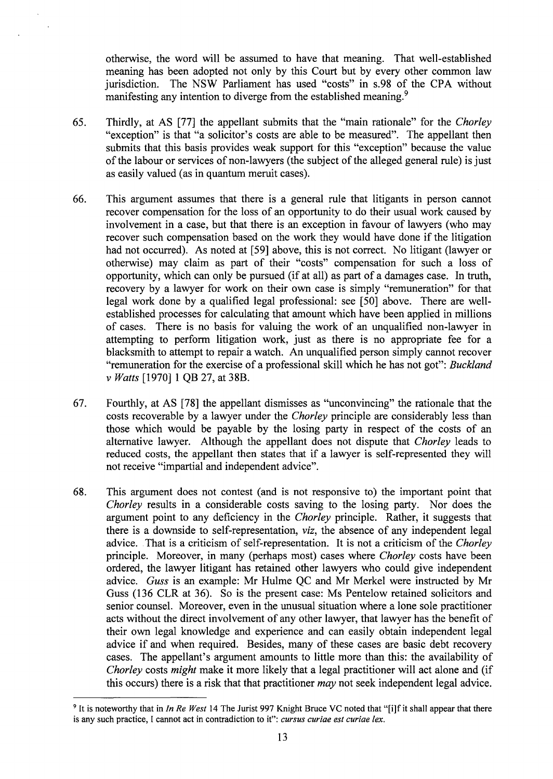otherwise, the word will be assumed to have that meaning. That well-established meaning has been adopted not only by this Court but by every other common law jurisdiction. The NSW Parliament has used "costs" in s.98 of the CPA without manifesting any intention to diverge from the established meaning.<sup>9</sup>

- 65. Thirdly, at AS [77] the appellant submits that the "main rationale" for the *Chorley*  "exception" is that "a solicitor's costs are able to be measured". The appellant then submits that this basis provides weak support for this "exception" because the value of the labour or services of non-lawyers (the subject of the alleged general rule) is just as easily valued (as in quantum meruit cases).
- 66. This argument assumes that there is a general rule that litigants in person cannot recover compensation for the loss of an opportunity to do their usual work caused by involvement in a case, but that there is an exception in favour of lawyers (who may recover such compensation based on the work they would have done if the litigation had not occurred). As noted at [59] above, this is not correct. No litigant (lawyer or otherwise) may claim as part of their "costs" compensation for such a loss of opportunity, which can only be pursued (if at all) as part of a damages case. In truth, recovery by a lawyer for work on their own case is simply "remuneration" for that legal work done by a qualified legal professional: see [50] above. There are wellestablished processes for calculating that amount which have been applied in millions of cases. There is no basis for valuing the work of an unqualified non-lawyer in attempting to perform litigation work, just as there is no appropriate fee for a blacksmith to attempt to repair a watch. An unqualified person simply cannot recover "remuneration for the exercise of a professional skill which he has not got": *Buckland v Watts* [1970] 1 QB 27, at 38B.
- 67. Fourthly, at AS [78] the appellant dismisses as "unconvincing" the rationale that the costs recoverable by a lawyer under the *Chorley* principle are considerably less than those which would be payable by the losing party in respect of the costs of an alternative lawyer. Although the appellant does not dispute that *Chorley* leads to reduced costs, the appellant then states that if a lawyer is self-represented they will not receive "impartial and independent advice".
- 68. This argument does not contest (and is not responsive to) the important point that *Chorley* results in a considerable costs saving to the losing party. Nor does the argument point to any deficiency in the *Chorley* principle. Rather, it suggests that there is a downside to self-representation, *viz,* the absence of any independent legal advice .. That is a criticism of self-representation. It is not a criticism of the *Chorley*  principle. Moreover, in many (perhaps most) cases where *Chorley* costs have been ordered, the lawyer litigant has retained other lawyers who could give independent advice. *Guss* is an example: Mr Hulme QC and Mr Merkel were instructed by Mr Guss (136 CLR at 36). So is the present case: Ms Pentelow retained solicitors and senior counsel. Moreover, even in the unusual situation where a lone sole practitioner acts without the direct involvement of any other lawyer, that lawyer has the benefit of their own legal knowledge and experience and can easily obtain independent legal advice if and when required. Besides, many of these cases are basic debt recovery cases. The appellant's argument amounts to little more than this: the availability of *Chorley* costs *might* make it more likely that a legal practitioner will act alone and (if this occurs) there is a risk that that practitioner *may* not seek independent legal advice.

<sup>&</sup>lt;sup>9</sup> It is noteworthy that in *In Re West* 14 The Jurist 997 Knight Bruce VC noted that "[i]f it shall appear that there is any such practice, I cannot act in contradiction to it": *cursus curiae est curiae lex.*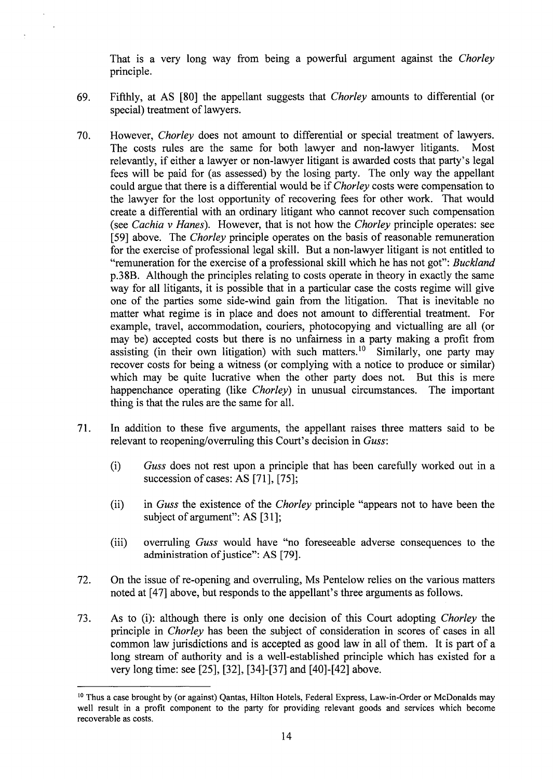That is a very long way from being a powerful argument against the *Chorley*  principle.

- 69. Fifthly, at AS [80] the appellant suggests that *Chorley* amounts to differential (or special) treatment of lawyers.
- 70. However, *Chorley* does not amount to differential or special treatment of lawyers. The costs rules are the same for both lawyer and non-lawyer litigants. Most relevantly, if either a lawyer or non-lawyer litigant is awarded costs that party's legal fees will be paid for (as assessed) by the losing party. The only way the appellant could argue that there is a differential would be if *Chorley* costs were compensation to the lawyer for the lost opportunity of recovering fees for other work. That would create a differential with an ordinary litigant who cannot recover such compensation (see *Cachia v Hanes).* However, that is not how the *Chorley* principle operates: see [59] above. The *Chorley* principle operates on the basis of reasonable remuneration for the exercise of professional legal skill. But a non-lawyer litigant is not entitled to "remuneration for the exercise of a professional skill which he has not got": *Buckland*  p.38B. Although the principles relating to costs operate in theory in exactly the same way for all litigants, it is possible that in a particular case the costs regime will give one of the parties some side-wind gain from the litigation. That is inevitable no matter what regime is in place and does not amount to differential treatment. For example, travel, accommodation, couriers, photocopying and victualling are all ( or may be) accepted costs but there is no unfairness in a party making a profit from assisting (in their own litigation) with such matters.<sup>10</sup> Similarly, one party may recover costs for being a witness (or complying with a notice to produce or similar) which may be quite lucrative when the other party does not. But this is mere happenchance operating (like *Chorley)* in unusual circumstances. The important thing is that the rules are the same for all.
- 71. In addition to these five arguments, the appellant raises three matters said to be relevant to reopening/overruling this Court's decision in Guss:
	- (i) *Guss* does not rest upon a principle that has been carefully worked out in a succession of cases: AS [71], [75];
	- (ii) in *Guss* the existence of the *Chorley* principle "appears not to have been the subject of argument": AS [31];
	- (iii) overruling *Guss* would have "no foreseeable adverse consequences to the administration of justice": AS [79].
- 72. On the issue of re-opening and overruling, Ms Pentelow relies on the various matters noted at [47] above, but responds to the appellant's three arguments as follows.
- 73. As to (i): although there is only one decision of this Court adopting *Chorley* the principle in *Chorley* has been the subject of consideration in scores of cases in all common law jurisdictions and is accepted as good law in all of them. It is part of a long stream of authority and is a well-established principle which has existed for a very long time: see [25], [32], [34]-[37] and [40]-[42] above.

<sup>&</sup>lt;sup>10</sup> Thus a case brought by (or against) Qantas, Hilton Hotels, Federal Express, Law-in-Order or McDonalds may well result in a profit component to the party for providing relevant goods and services which become recoverable as costs.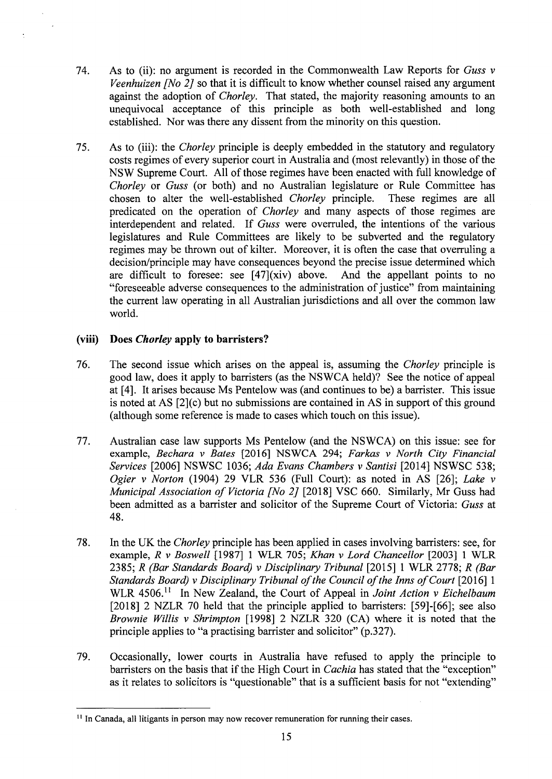- 74. As to (ii): no argument is recorded in the Commonwealth Law Reports for *Guss v Veenhuizen [No 2]* so that it is difficult to know whether counsel raised any argument against the adoption of *Chorley.* That stated, the majority reasoning amounts to an unequivocal acceptance of this principle as both well-established and long established. Nor was there any dissent from the minority on this question.
- 75. As to (iii): the *Chorley* principle is deeply embedded in the statutory and regulatory costs regimes of every superior court in Australia and (most relevantly) in those of the NSW Supreme Court. All of those regimes have been enacted with full knowledge of *Chorley* or *Guss* (or both) and no Australian legislature or Rule Committee has chosen to alter the well-established *Chorley* principle. These regimes are all predicated on the operation of *Chorley* and many aspects of those regimes are interdependent and related. If *Guss* were overruled, the intentions of the various legislatures and Rule Committees are likely to be subverted and the regulatory regimes may be thrown out of kilter. Moreover, it is often the case that overruling a decision/principle may have consequences beyond the precise issue determined which are difficult to foresee: see [47](xiv) above. And the appellant points to no "foreseeable adverse consequences to the administration of justice" from maintaining the current law operating in all Australian jurisdictions and all over the common law world.

## **(viii) Does** *Chorley* **apply to barristers?**

- 76. The second issue which arises on the appeal is, assuming the *Chorley* principle is good law, does it apply to barristers (as the NSWCA held)? See the notice of appeal at [4]. It arises because Ms Pentelow was (and continues to be) a barrister. This issue is noted at AS [2](c) but no submissions are contained in AS in support of this ground (although some reference is made to cases which touch on this issue).
- 77. Australian case law supports Ms Pentelow (and the NSWCA) on this issue: see for example, *Bechara v Bates* [2016] NSWCA 294; *Farkas v North City Financial Services* [2006] NSWSC 1036; *Ada Evans Chambers v Santisi* [2014] NSWSC 538; *Ogier v Norton* (1904) 29 VLR 536 (Full Court): as noted in AS [26]; *Lake v Municipal Association of Victoria [No 2]* [2018] VSC 660. Similarly, Mr Guss had been admitted as a barrister and solicitor of the Supreme Court of Victoria: *Guss* at 48.
- 78. In the UK the *Chorley* principle has been applied in cases involving barristers: see, for example, *R v Boswell* [1987] 1 WLR 705; *Khan v Lord Chancellor* [2003] 1 WLR 2385; *R (Bar Standards Board) v Disciplinary Tribunal* [2015] 1 WLR 2778; *R (Bar Standards Board) v Disciplinary Tribunal of the Council of the Inns of Court* [2016] 1 WLR 4506.<sup>11</sup> In New Zealand, the Court of Appeal in *Joint Action v Eichelbaum* [2018] 2 NZLR 70 held that the principle applied to barristers: [59]-[66]; see also *Brownie Willis v Shrimpton* [1998] 2 NZLR 320 (CA) where it is noted that the principle applies to "a practising barrister and solicitor" (p.327).
- 79. Occasionally, lower courts in Australia have refused to apply the principle to barristers on the basis that if the High Court in *Cachia* has stated that the "exception" as it relates to solicitors is "questionable" that is a sufficient basis for not "extending"

<sup>&</sup>lt;sup>11</sup> In Canada, all litigants in person may now recover remuneration for running their cases.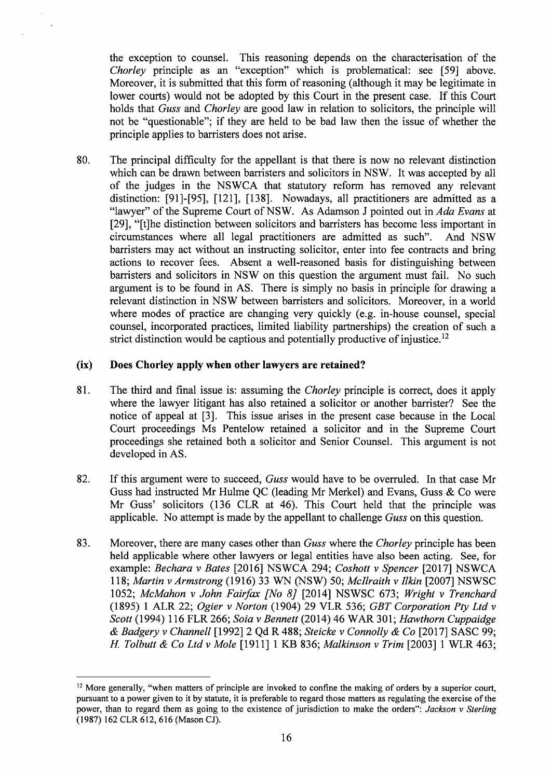the exception to counsel. This reasoning depends on the characterisation of the *Chorley* principle as an "exception" which is problematical: see [59] above. Moreover, it is submitted that this form of reasoning (although it may be legitimate in lower courts) would not be adopted by this Court in the present case. If this Court holds that *Guss* and *Chorley* are good law in relation to solicitors, the principle will not be "questionable"; if they are held to be bad law then the issue of whether the principle applies to barristers does not arise.

80. The principal difficulty for the appellant is that there is now no relevant distinction which can be drawn between barristers and solicitors in NSW. It was accepted by all of the judges in the NSWCA that statutory reform has removed any relevant distinction: [91]-[95], [121], [138]. Nowadays, all practitioners are admitted as a "lawyer" of the Supreme Court of NSW. As Adamson J pointed out in *Ada Evans* at [29], "[t]he distinction between solicitors and barristers has become less important in circumstances where all legal practitioners are admitted as such". And NSW barristers may act without an instructing solicitor, enter into fee contracts and bring actions to recover fees. Absent a well-reasoned basis for distinguishing between barristers and solicitors in NSW on this question the argument must fail. No such argument is to be found in AS. There is simply no basis in principle for drawing a relevant distinction in NSW between barristers and solicitors. Moreover, in a world where modes of practice are changing very quickly (e.g. in-house counsel, special counsel, incorporated practices, limited liability partnerships) the creation of such a strict distinction would be captious and potentially productive of injustice.<sup>12</sup>

### **(ix) Does Chorley apply when other lawyers are retained?**

- 81. The third and final issue is: assuming the *Chorley* principle is correct, does it apply where the lawyer litigant has also retained a solicitor or another barrister? See the notice of appeal at [3]. This issue arises in the present case because in the Local Court proceedings Ms Pentelow retained a solicitor and in the Supreme Court proceedings she retained both a solicitor and Senior Counsel. This argument is not developed in AS.
- 82. If this argument were to succeed, *Guss* would have to be overruled. In that case Mr Guss had instructed Mr Hulme QC (leading Mr Merkel) and Evans, Guss & Co were Mr Guss' solicitors (136 CLR at 46). This Court held that the principle was applicable. No attempt is made by the appellant to challenge *Guss* on this question.
- 83. Moreover, there are many cases other than *Guss* where the *Chorley* principle has been held applicable where other lawyers or legal entities have also been acting. See, for example: *Bechara v Bates* [2016] NSWCA 294; *Cashatt v Spencer* [2017] NSWCA 118; *Martin v Armstrong* (1916) 33 WN (NSW) 50; *Mc/lraith v Ilkin* [2007] NSWSC 1052; *McMahon v John Fairfax [No 8]* [2014] NSWSC 673; *Wright v Trenchard*  (1895) 1 ALR 22; *Ogier v Norton* (1904) 29 VLR 536; *GBT Corporation Pty Ltd v Scott* (1994) 116 FLR 266; *Saia v Bennett* (2014) 46 WAR 301; *Hawthorn Cuppaidge*  & *Badgery v Channell* [1992] 2 Qd R 488; *Steicke v Connolly* & *Co* [2017] SASC 99; *H To/butt & Co Ltd v Mole* [1911] 1 KB 836; *Malkinson v Trim* [2003] 1 WLR 463;

<sup>&</sup>lt;sup>12</sup> More generally, "when matters of principle are invoked to confine the making of orders by a superior court, pursuant to a power given to it by statute, it is preferable to regard those matters as regulating the exercise of the power, than to regard them as going to the existence of jurisdiction to make the orders": *Jackson v Sterling*  ( 1987) 162 CLR 612, 616 (Mason CJ).